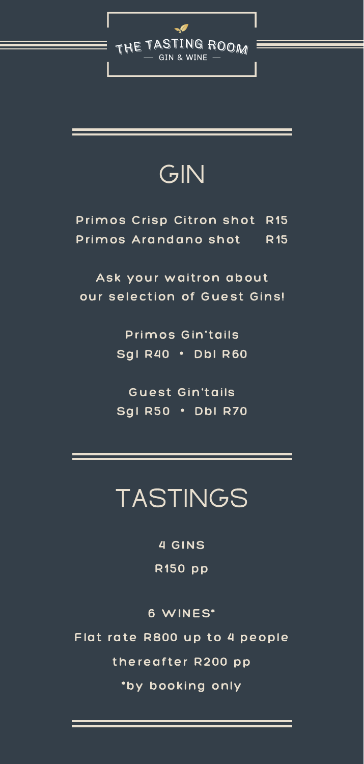

## GIN

### TASTINGS

4 GINS R150 pp

#### 6 WINES\* Flat rate R800 up to 4 people thereafter R200 pp \*by booking only

#### Primos Crisp Citron shot R15 Primos Arandano shot R15

#### Ask your waitron about our selection of Guest Gins!

Primos Gin'tails Sgl R40 · Dbl R60

Guest Gin'tails

Sgl R50 · Dbl R70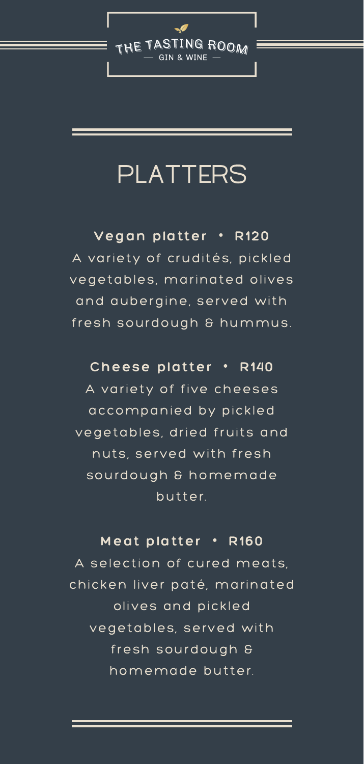

## PLATTERS

#### Vegan platter ・ R120

A variety of crudités, pickled vegetables, marinated olives and aubergine, served with fresh sourdough & hummus.

#### Cheese platter ・ R140 A variety of five cheeses

Meat platter · R160 A selection of cured meats, chicken liver paté, marinated olives and pickled vegetables, served with fresh sourdough & homemade butter.

accompanied by pickled vegetables, dried fruits and nuts, served with fresh sourdough & homemade butter.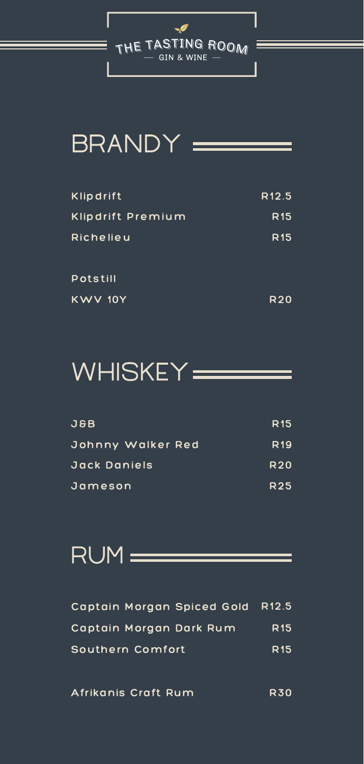

## BRANDY =

| Klipdrift         | R <sub>12.5</sub> |
|-------------------|-------------------|
| Klipdrift Premium | <b>R15</b>        |
| Richelieu         | <b>R15</b>        |
| Potstill          |                   |
| <b>KWV 10Y</b>    | <b>R20</b>        |



| <b>J&amp;B</b>    | <b>R15</b> |
|-------------------|------------|
| Johnny Walker Red | <b>R19</b> |
| Jack Daniels      | <b>R20</b> |
| Jameson           | <b>R25</b> |

RUM COMMENT

| Captain Morgan Spiced Gold R12.5 |                 |
|----------------------------------|-----------------|
| Captain Morgan Dark Rum          | R <sub>15</sub> |
| Southern Comfort                 | R <sub>15</sub> |

R30 Afrikanis Craft Rum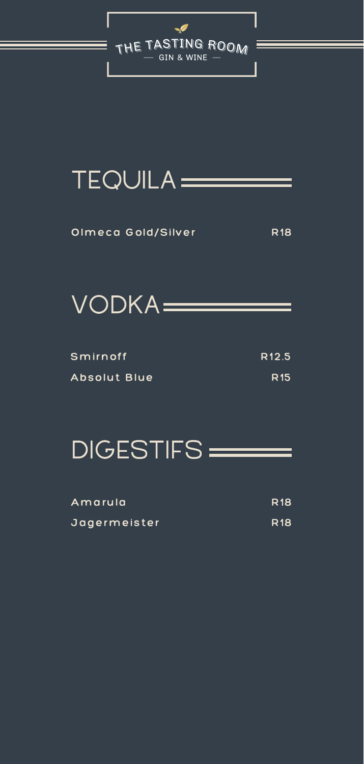

## TEQUILA =======

Olmeca Gold/Silver R18



R12.5 R15 Smirnoff Absolut Blue

## DIGESTIFS=

| Amarula      | <b>R18</b> |
|--------------|------------|
| Jagermeister | <b>R18</b> |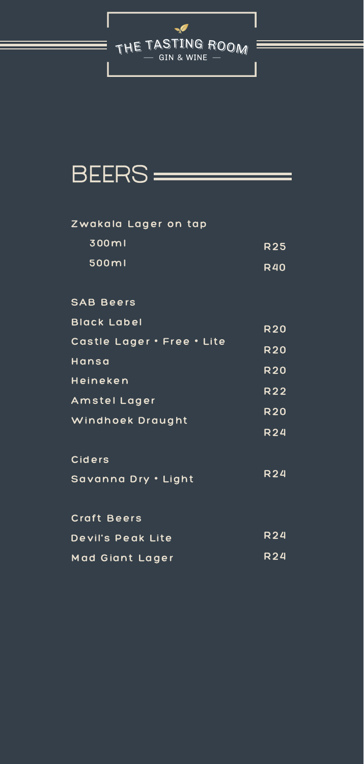

## BEERS =

#### Zwakala Lager on tap

#### SAB Beers

Hansa

Heineken

Amstel Lager

| 300ml |  | <b>R25</b> |
|-------|--|------------|
|       |  |            |

| 500ml | <b>R40</b> |
|-------|------------|
|       |            |

| <b>Black Label</b> | <b>R20</b> |
|--------------------|------------|
|                    |            |

Castle Lager・Free・Lite R20

| Windhoek Draught    | <b>R20</b> |
|---------------------|------------|
|                     | <b>R24</b> |
| Ciders              |            |
| Savanna Dry . Light | <b>R24</b> |
| Craft Beers         |            |
| Devil's Peak Lite   | <b>R24</b> |
| Mad Giant Lager     | R24        |

R20

R22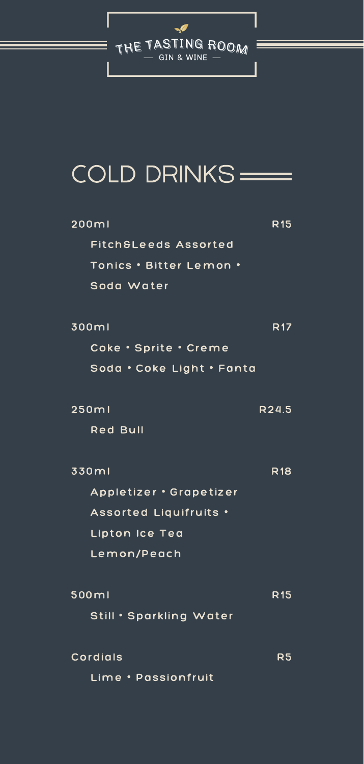

# COLD DRINKS

| 200ml                     | <b>R15</b> |
|---------------------------|------------|
| Fitch&Leeds Assorted      |            |
| Tonics . Bitter Lemon .   |            |
| Soda Water                |            |
|                           |            |
| 300ml                     | <b>R17</b> |
| Coke · Sprite · Creme     |            |
| Soda · Coke Light · Fanta |            |

| 250ml                   | R24.5      |
|-------------------------|------------|
| <b>Red Bull</b>         |            |
|                         |            |
| 330ml                   | <b>R18</b> |
| Appletizer · Grapetizer |            |
| Assorted Liquifruits .  |            |
| Lipton Ice Tea          |            |
| Lemon/Peach             |            |
|                         |            |
| 500ml                   | R15        |
| Still . Sparkling Water |            |
|                         |            |
| Cordials                | R5         |
| Lime · Passionfruit     |            |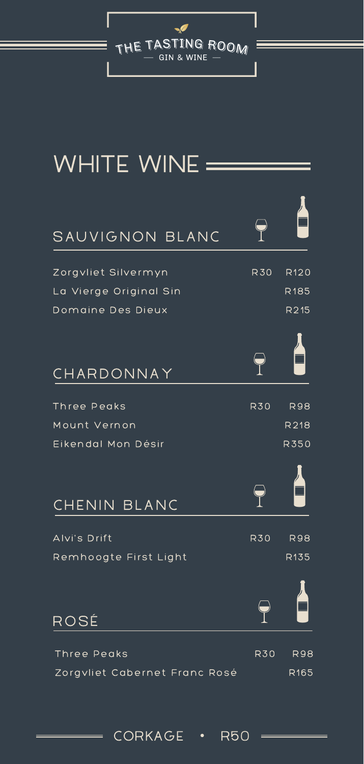

# WHITE WINE =

#### SAUVIGNON BLANC

Domaine Des Dieux Zorgvliet Silvermyn La Vierge Original Sin R30 R215 R120 R185





**CHARDONNAY** 



| Three Peaks                   | <b>R30</b> | <b>R98</b>       |
|-------------------------------|------------|------------------|
| Mount Vernon                  |            | R218             |
| Eikendal Mon Désir            |            | <b>R350</b>      |
| CHENIN BLANC                  |            |                  |
| Alvi's Drift                  | <b>R30</b> | <b>R98</b>       |
| Remhoogte First Light         |            | R <sub>135</sub> |
| ROSÉ                          |            |                  |
| Three Peaks                   | <b>R30</b> | <b>R98</b>       |
| Zorgvliet Cabernet Franc Rosé |            | R <sub>165</sub> |

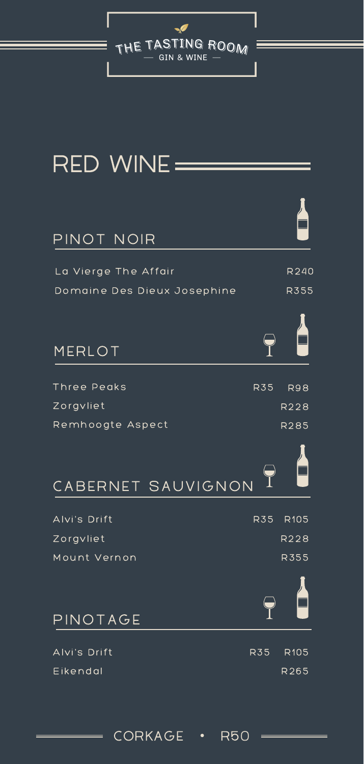

### RED WINE =

#### PINOT NOIR

| Domaine Des Dieux Josephine | R355 |
|-----------------------------|------|
| La Vierge The Affair        | R240 |



| Three Peaks        | R35 | <b>R98</b>       |
|--------------------|-----|------------------|
| Zorgvliet          |     | <b>R228</b>      |
| Remhoogte Aspect   |     | <b>R285</b>      |
| CABERNET SAUVIGNON |     |                  |
|                    |     |                  |
| Alvi's Drift       | R35 | R <sub>105</sub> |
| Zorgvliet          |     | R228             |
| Mount Vernon       |     | <b>R355</b>      |
| PINOTAGE           |     |                  |
|                    |     |                  |
| Alvi's Drift       | R35 | <b>R105</b>      |
| Eikendal           |     | R265             |

#### CORKAGE • R50 =